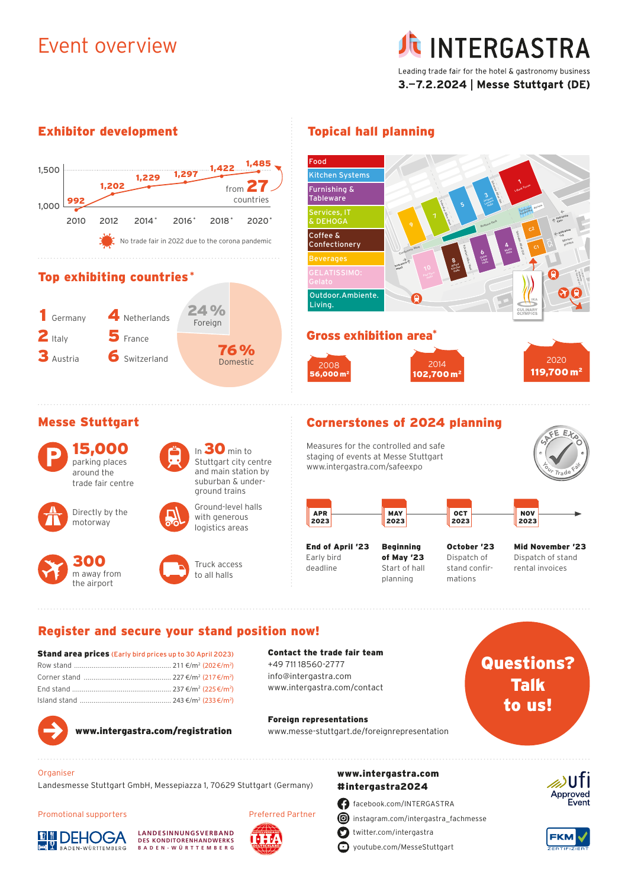## Event overview

## **INTERGASTRA** Leading trade fair for the hotel & gastronomy business 3.-7.2.2024 | Messe Stuttgart (DE)

### Exhibitor development Topical hall planning





Island stand ............................................... 243 €/m2 (233€/m2 )

www.intergastra.com/contact



www.intergastra.com/registration

Foreign representations www.messe-stuttgart.de/foreignrepresentation

# Talk to us!



Landesmesse Stuttgart GmbH, Messepiazza 1, 70629 Stuttgart (Germany)

#### Promotional supporters







Preferred Partner

### www.intergastra.com #intergastra2024

facebook.com/INTERGASTRA **i**nstagram.com/intergastra\_fachmesse

Ο twitter.com/intergastra

youtube.com/MesseStuttgart



**FKM**